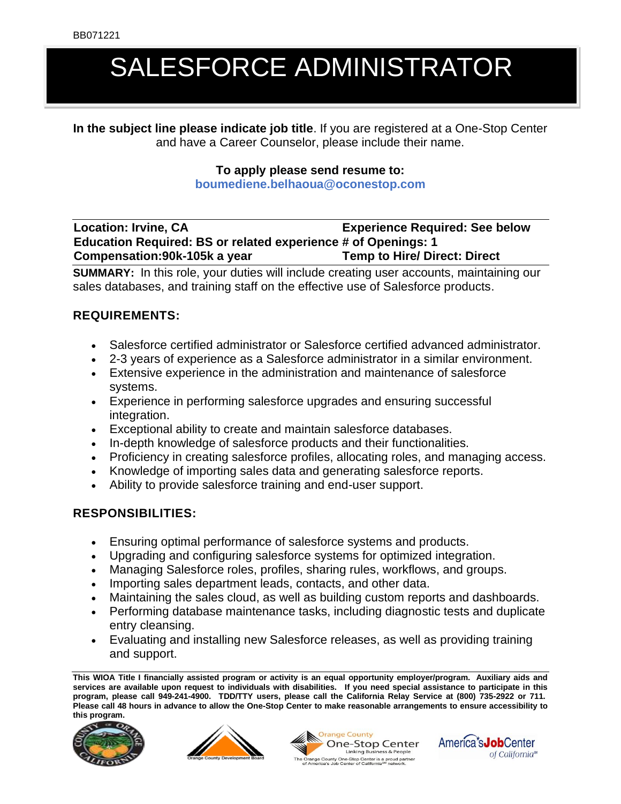# SALESFORCE ADMINISTRATOR

**In the subject line please indicate job title**. If you are registered at a One-Stop Center and have a Career Counselor, please include their name.

#### **To apply please send resume to:**

**boumediene.belhaoua@oconestop.com**

## **Location: Irvine, CA Experience Required: See below Education Required: BS or related experience # of Openings: 1 Compensation:90k-105k a year Temp to Hire/ Direct: Direct**

**SUMMARY:** In this role, your duties will include creating user accounts, maintaining our sales databases, and training staff on the effective use of Salesforce products.

### **REQUIREMENTS:**

- Salesforce certified administrator or Salesforce certified advanced administrator.
- 2-3 years of experience as a Salesforce administrator in a similar environment.
- Extensive experience in the administration and maintenance of salesforce systems.
- Experience in performing salesforce upgrades and ensuring successful integration.
- Exceptional ability to create and maintain salesforce databases.
- In-depth knowledge of salesforce products and their functionalities.
- Proficiency in creating salesforce profiles, allocating roles, and managing access.
- Knowledge of importing sales data and generating salesforce reports.
- Ability to provide salesforce training and end-user support.

### **RESPONSIBILITIES:**

- Ensuring optimal performance of salesforce systems and products.
- Upgrading and configuring salesforce systems for optimized integration.
- Managing Salesforce roles, profiles, sharing rules, workflows, and groups.
- Importing sales department leads, contacts, and other data.
- Maintaining the sales cloud, as well as building custom reports and dashboards.
- Performing database maintenance tasks, including diagnostic tests and duplicate entry cleansing.
- Evaluating and installing new Salesforce releases, as well as providing training and support.

**This WIOA Title I financially assisted program or activity is an equal opportunity employer/program. Auxiliary aids and services are available upon request to individuals with disabilities. If you need special assistance to participate in this program, please call 949-241-4900. TDD/TTY users, please call the California Relay Service at (800) 735-2922 or 711. Please call 48 hours in advance to allow the One-Stop Center to make reasonable arrangements to ensure accessibility to this program.**